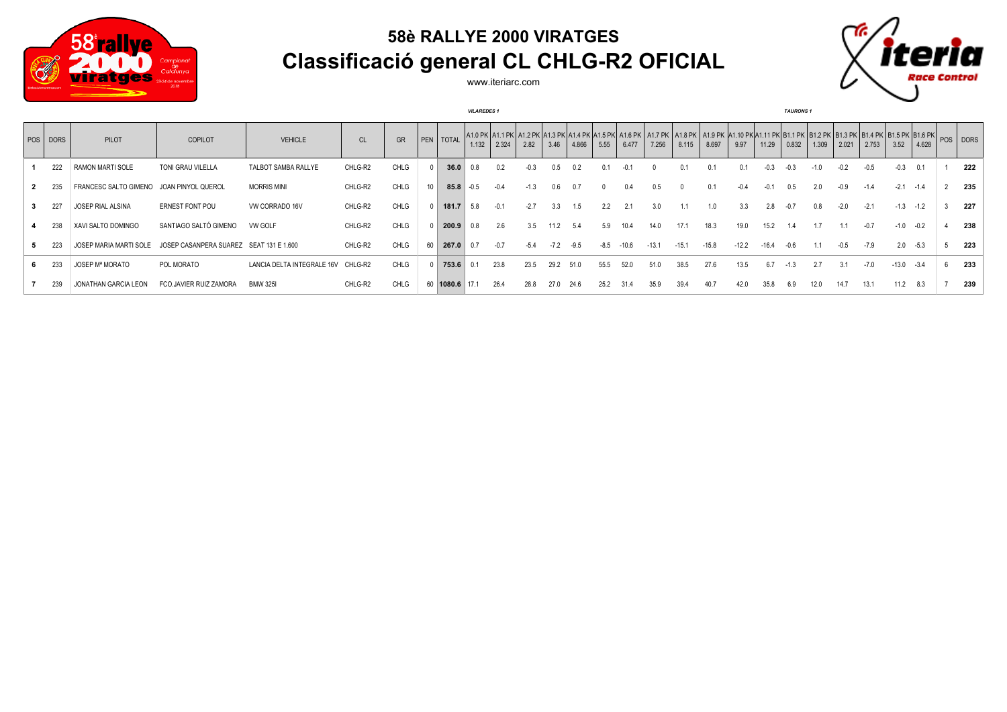

## **58è RALLYE 2000 VIRATGES Classificació general CL CHLG-R2 OFICIAL**



www.iteriarc.com

|          |                         |                                         |                            |         |             |                  |                | <b>VILAREDES 1</b> |        |        |        |        |      |         |                                                                                                                                                                                                                                         |         |         |         |       | <b>TAURONS</b> 1 |       |       |        |         |        |     |
|----------|-------------------------|-----------------------------------------|----------------------------|---------|-------------|------------------|----------------|--------------------|--------|--------|--------|--------|------|---------|-----------------------------------------------------------------------------------------------------------------------------------------------------------------------------------------------------------------------------------------|---------|---------|---------|-------|------------------|-------|-------|--------|---------|--------|-----|
| POS DORS | PILOT                   | <b>COPILOT</b>                          | <b>VEHICLE</b>             | CL      | <b>GR</b>   |                  | PEN   TOTAL    | 1.132              | 2.324  | 2.82   | 3.46   | 4.866  | 5.55 | 6.477   | A1.0 PK A1.1 PK A1.2 PK A1.3 PK A1.4 PK A1.5 PK A1.6 PK A1.7 PK A1.8 PK A1.9 PK A1.10 PK A1.11 PK B1.1 PK B1.1 PK B1.3 PK B1.4 PK B1.4 PK B1.5 PK B1.5 PK B1.5 PK B1.5 PK B1.6 PK B1.6 PK B1.1 PK B1.1 PK B1.1 PK B1.5 PK B1.5<br>7.256 | 8.115   | 8.697   | 9.97    | 11.29 | 0.832            | 1.309 | 2.021 | 2.753  | 3.52    | 4.628  |     |
| 222      | <b>RAMON MARTI SOLE</b> | TONI GRAU VILELLA                       | TALBOT SAMBA RALLYE        | CHLG-R2 | CHLG        |                  | 36.0           |                    |        |        | 0.5    | 0.2    |      |         |                                                                                                                                                                                                                                         |         |         |         |       |                  |       |       |        | $-0.3$  | 0.1    | 222 |
| 235      | FRANCESC SALTO GIMENO   | JOAN PINYOL QUEROL                      | <b>MORRIS MINI</b>         | CHLG-R2 | CHLG        | 10 <sup>10</sup> | 85.8           |                    |        |        |        |        |      |         |                                                                                                                                                                                                                                         |         |         |         |       |                  |       |       |        | $-2.1$  |        | 235 |
| 227      | JOSEP RIAL ALSINA       | <b>ERNEST FONT POU</b>                  | VW CORRADO 16V             | CHLG-R2 | CHLG        |                  | 181.7          | 5.8                |        | $-2.7$ | 3.3    |        | 2.2  |         | 3.0                                                                                                                                                                                                                                     |         |         |         |       |                  |       |       |        | $-1.3$  | $-1.2$ | 227 |
| 238      | XAVI SALTO DOMINGO      | SANTIAGO SALTÓ GIMENO                   | VW GOLF                    | CHLG-R2 | CHLG        |                  | 200.9          | 0.8                | 2.6    | 3.5    | 11.2   | 5.4    | 5.9  | 10.4    | 14.0                                                                                                                                                                                                                                    | 17.1    | 18.3    | 19.0    |       |                  |       |       |        | $-1.0$  |        | 238 |
| 223      | JOSEP MARIA MARTI SOLE  | JOSEP CASANPERA SUAREZ SEAT 131 E 1.600 |                            | CHLG-R2 | CHLG        | 60               | 267.0          | 0.7                | $-0.7$ | $-5.4$ | $-7.2$ | $-9.5$ | -8.5 | $-10.6$ | -13.1                                                                                                                                                                                                                                   | $-15.1$ | $-15.8$ | $-12.2$ |       |                  |       |       | $-7.9$ | 2.0     | $-5.3$ | 223 |
| 233      | JOSEP Mª MORATO         | POL MORATO                              | LANCIA DELTA INTEGRALE 16V | CHLG-R2 | <b>CHLG</b> |                  | 753.6          |                    | 23.8   | 23.5   | 29.2   | 51.0   | 55.5 | 52.0    | 51.0                                                                                                                                                                                                                                    | 38.5    | 27.6    | 13.5    |       |                  |       |       | $-7.0$ | $-13.0$ | $-3.4$ | 233 |
| 239      | JONATHAN GARCIA LEON    | FCO.JAVIER RUIZ ZAMORA                  | <b>BMW 325I</b>            | CHLG-R2 | <b>CHLG</b> |                  | 60 1080.6 17.1 |                    | 26.4   | 28.8   | 27.0   | 24.6   | 25.2 | 31.4    | 35.9                                                                                                                                                                                                                                    | 39.4    | 40.7    | 42.0    |       |                  |       | 14.7  |        | 11.2    | 8.3    | 239 |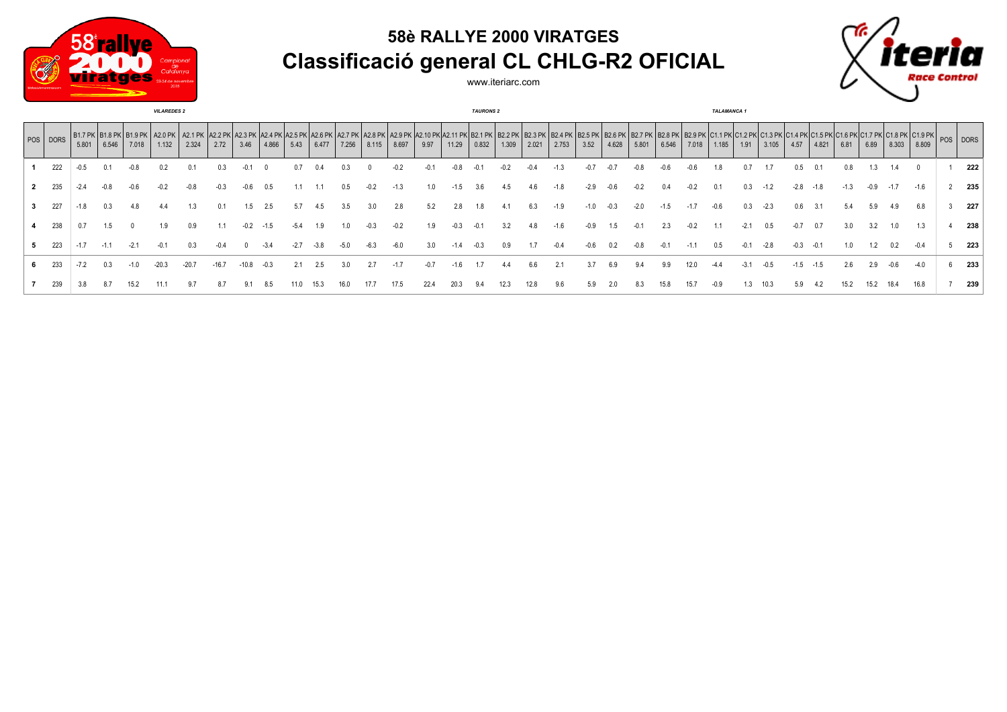

## **58è RALLYE 2000 VIRATGES Classificació general CL CHLG-R2 OFICIAL**

www.iteriarc.com



|   | <b>VILAREDES 2</b> |        |                                                |        |         |         |         |         |        |      |       |       | <b>TAURONS 2</b> |        |        |        |       |       |       |       | <b>TALAMANCA 1</b> |       |        |       |       |        |        |        |      |       |        |      |        |                                                                                                                                                                                                                                         |     |
|---|--------------------|--------|------------------------------------------------|--------|---------|---------|---------|---------|--------|------|-------|-------|------------------|--------|--------|--------|-------|-------|-------|-------|--------------------|-------|--------|-------|-------|--------|--------|--------|------|-------|--------|------|--------|-----------------------------------------------------------------------------------------------------------------------------------------------------------------------------------------------------------------------------------------|-----|
|   | POS DORS           | 5.801  | B1.7 PK   B1.8 PK   B1.9 PK   A2.0 PK<br>6.546 | 7.018  | 1.132   | 2.324   | 2.72    | 3.46    | 4.866  | 5.43 | 6.477 | 7.256 | 8.115            | 8.697  | 9.97   | 11.29  | 0.832 | 1.309 | 2.021 | 2.753 | 3.52               | 4.628 | 5.801  | 6.546 | 7.018 | 1.185  | 1.91   | 3.105  | 4.57 | 4.821 | 6.81   | 6.89 | 8.303  | A2.1 PK A2.2 PK A2.3 PK A2.4 PK A2.4 PK A2.5 PK A2.6 PK A2.7 PK A2.8 PK A2.10 PK A2.10 PK A2.11 PK B2.1 PK B2.2 PK B2.3 PK B2.5 PK B2.5 PK B2.5 PK B2.5 PK B2.5 PK B2.8 PK B2.8 PK B2.5 PK B2.5 PK B2.5 PK B2.5 PK B2.5 PK B2.<br>8.809 |     |
|   | 222                | $-0.5$ |                                                |        |         |         |         |         |        | 0.7  |       |       |                  |        | -0.    |        |       |       |       |       |                    |       |        |       |       | 1.8    |        |        | U.5  |       | 0.8    |      |        |                                                                                                                                                                                                                                         | 222 |
|   | 235                |        | -0.8                                           |        |         |         |         |         |        |      |       | 0.5   |                  | $-1.3$ | 1.0    |        |       |       |       |       | -2.9               |       |        | 0.4   |       | 0.1    | 0.3    |        |      | -1.8  | $-1.3$ | -0.9 | $-1.7$ | $-1.6$                                                                                                                                                                                                                                  | 235 |
| 3 | 227                | $-1.8$ | 0.3                                            |        |         |         |         | 1.5     | 2.5    | 5.7  | 4.5   | 3.5   | 3.0              | 2.8    | 5.2    | 2.8    | 1.8   |       |       | -1.9  | -1.0               |       | $-2.0$ | -1.5  |       | $-0.6$ | 0.3    | $-2.3$ | 0.6  |       | 5.4    |      | 4.9    | 6.8                                                                                                                                                                                                                                     | 227 |
|   | 238                |        | 1.5                                            |        | 1.9     | 0.9     |         | $-0.2$  |        |      | و. ا  |       |                  |        | 1.9    |        |       |       |       |       |                    |       |        | 2.3   |       |        |        | 0.5    |      | 0.7   | 3.0    |      | 1.0    | 1.3                                                                                                                                                                                                                                     | 238 |
|   | 223                | $-1.7$ | $-1.1$                                         | $-2.1$ | $-0.1$  | 0.3     |         |         | -3.4   |      | -3.8  | -5.0  | -6.3             | $-6.0$ | 3.0    |        |       | 0.9   |       | -0.4  |                    |       |        |       |       | 0.5    | $-0.1$ | $-2.8$ |      |       | 1.0    | 1.2  |        | $-0.4$                                                                                                                                                                                                                                  | 223 |
|   | 233                |        |                                                |        | $-20.3$ | $-20.7$ | $-16.7$ | $-10.8$ | $-0.3$ |      | 2.5   | 3.0   | 2.7              | $-1.7$ | $-0.7$ | $-1.6$ |       |       |       | 2.1   |                    | 6.9   |        | 9.9   |       |        |        |        |      | -1.5  | 2.6    | 2.9  | -0.6   |                                                                                                                                                                                                                                         | 233 |
|   | 239                |        |                                                | 15.2   |         |         |         |         |        |      |       |       |                  | l / .5 | 22.4   |        |       |       |       |       |                    |       |        |       |       |        |        | IO.3   | 5.9  |       |        |      |        |                                                                                                                                                                                                                                         | 239 |